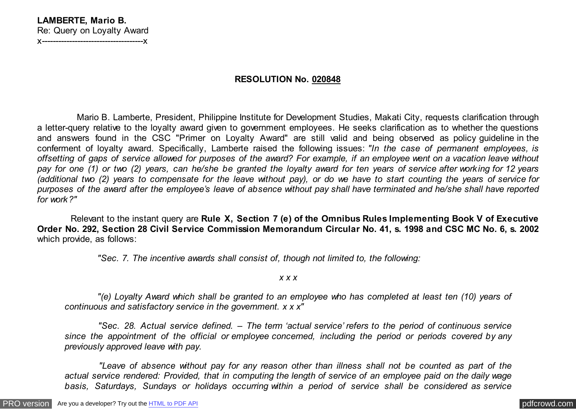## **RESOLUTION No. 020848**

 Mario B. Lamberte, President, Philippine Institute for Development Studies, Makati City, requests clarification through a letter-query relative to the loyalty award given to government employees. He seeks clarification as to whether the questions and answers found in the CSC "Primer on Loyalty Award" are still valid and being observed as policy guideline in the conferment of loyalty award. Specifically, Lamberte raised the following issues: *"In the case of permanent employees, is offsetting of gaps of service allowed for purposes of the award? For example, if an employee went on a vacation leave without pay for one (1) or two (2) years, can he/she be granted the loyalty award for ten years of service after working for 12 years (additional two (2) years to compensate for the leave without pay), or do we have to start counting the years of service for purposes of the award after the employee's leave of absence without pay shall have terminated and he/she shall have reported for work?"*

 Relevant to the instant query are **Rule X, Section 7 (e) of the Omnibus Rules Implementing Book V of Executive Order No. 292, Section 28 Civil Service Commission Memorandum Circular No. 41, s. 1998 and CSC MC No. 6, s. 2002** which provide, as follows:

 *"Sec. 7. The incentive awards shall consist of, though not limited to, the following:*

*x x x*

 *"(e) Loyalty Award which shall be granted to an employee who has completed at least ten (10) years of continuous and satisfactory service in the government. x x x"*

 *"Sec. 28. Actual service defined. – The term 'actual service' refers to the period of continuous service since the appointment of the official or employee concerned, including the period or periods covered by any previously approved leave with pay.*

 *"Leave of absence without pay for any reason other than illness shall not be counted as part of the actual service rendered: Provided, that in computing the length of service of an employee paid on the daily wage basis, Saturdays, Sundays or holidays occurring within a period of service shall be considered as service*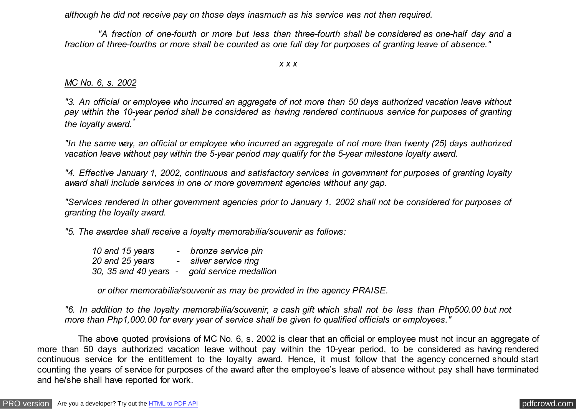*although he did not receive pay on those days inasmuch as his service was not then required.*

 *"A fraction of one-fourth or more but less than three-fourth shall be considered as one-half day and a fraction of three-fourths or more shall be counted as one full day for purposes of granting leave of absence."*

*x x x*

## *MC No. 6, s. 2002*

*"3. An official or employee who incurred an aggregate of not more than 50 days authorized vacation leave without pay within the 10-year period shall be considered as having rendered continuous service for purposes of granting the loyalty award.\**

*"In the same way, an official or employee who incurred an aggregate of not more than twenty (25) days authorized vacation leave without pay within the 5-year period may qualify for the 5-year milestone loyalty award.*

*"4. Effective January 1, 2002, continuous and satisfactory services in government for purposes of granting loyalty award shall include services in one or more government agencies without any gap.*

*"Services rendered in other government agencies prior to January 1, 2002 shall not be considered for purposes of granting the loyalty award.*

*"5. The awardee shall receive a loyalty memorabilia/souvenir as follows:*

| 10 and 15 years       | bronze service pin     |
|-----------------------|------------------------|
| 20 and 25 years       | - silver service ring  |
| 30, 35 and 40 years - | gold service medallion |

 *or other memorabilia/souvenir as may be provided in the agency PRAISE.*

*"6. In addition to the loyalty memorabilia/souvenir, a cash gift which shall not be less than Php500.00 but not more than Php1,000.00 for every year of service shall be given to qualified officials or employees."*

 The above quoted provisions of MC No. 6, s. 2002 is clear that an official or employee must not incur an aggregate of more than 50 days authorized vacation leave without pay within the 10-year period, to be considered as having rendered continuous service for the entitlement to the loyalty award. Hence, it must follow that the agency concerned should start counting the years of service for purposes of the award after the employee's leave of absence without pay shall have terminated and he/she shall have reported for work.